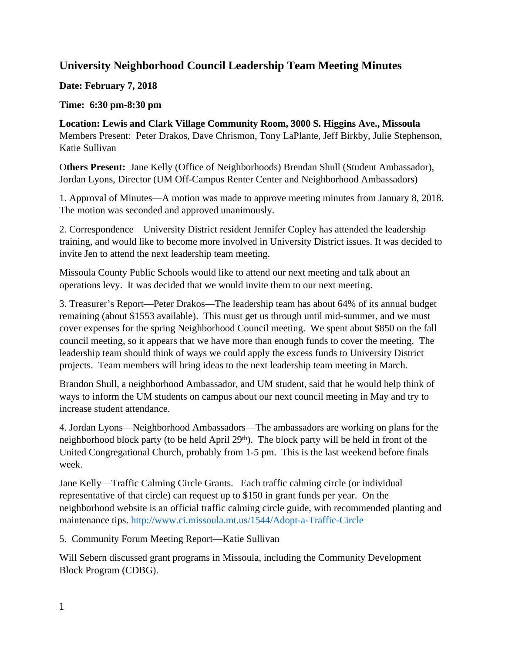## **University Neighborhood Council Leadership Team Meeting Minutes**

**Date: February 7, 2018**

**Time: 6:30 pm-8:30 pm**

**Location: Lewis and Clark Village Community Room, 3000 S. Higgins Ave., Missoula**  Members Present: Peter Drakos, Dave Chrismon, Tony LaPlante, Jeff Birkby, Julie Stephenson, Katie Sullivan

O**thers Present:** Jane Kelly (Office of Neighborhoods) Brendan Shull (Student Ambassador), Jordan Lyons, Director (UM Off-Campus Renter Center and Neighborhood Ambassadors)

1. Approval of Minutes—A motion was made to approve meeting minutes from January 8, 2018. The motion was seconded and approved unanimously.

2. Correspondence—University District resident Jennifer Copley has attended the leadership training, and would like to become more involved in University District issues. It was decided to invite Jen to attend the next leadership team meeting.

Missoula County Public Schools would like to attend our next meeting and talk about an operations levy. It was decided that we would invite them to our next meeting.

3. Treasurer's Report—Peter Drakos—The leadership team has about 64% of its annual budget remaining (about \$1553 available). This must get us through until mid-summer, and we must cover expenses for the spring Neighborhood Council meeting. We spent about \$850 on the fall council meeting, so it appears that we have more than enough funds to cover the meeting. The leadership team should think of ways we could apply the excess funds to University District projects. Team members will bring ideas to the next leadership team meeting in March.

Brandon Shull, a neighborhood Ambassador, and UM student, said that he would help think of ways to inform the UM students on campus about our next council meeting in May and try to increase student attendance.

4. Jordan Lyons—Neighborhood Ambassadors—The ambassadors are working on plans for the neighborhood block party (to be held April 29<sup>th</sup>). The block party will be held in front of the United Congregational Church, probably from 1-5 pm. This is the last weekend before finals week.

Jane Kelly—Traffic Calming Circle Grants. Each traffic calming circle (or individual representative of that circle) can request up to \$150 in grant funds per year. On the neighborhood website is an official traffic calming circle guide, with recommended planting and maintenance tips. <http://www.ci.missoula.mt.us/1544/Adopt-a-Traffic-Circle>

5. Community Forum Meeting Report—Katie Sullivan

Will Sebern discussed grant programs in Missoula, including the Community Development Block Program (CDBG).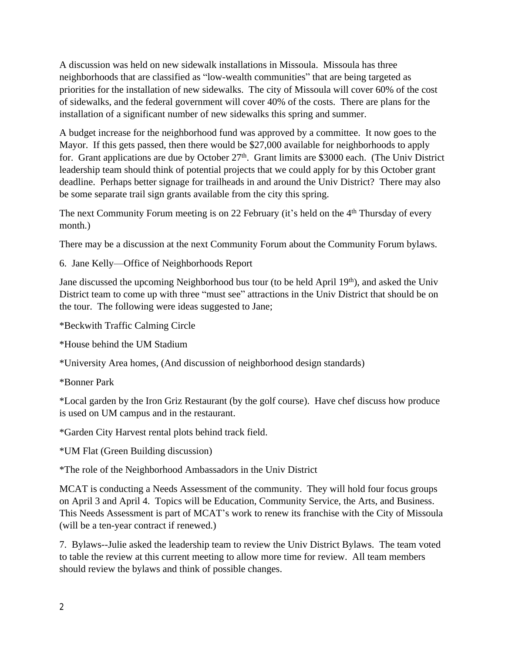A discussion was held on new sidewalk installations in Missoula. Missoula has three neighborhoods that are classified as "low-wealth communities" that are being targeted as priorities for the installation of new sidewalks. The city of Missoula will cover 60% of the cost of sidewalks, and the federal government will cover 40% of the costs. There are plans for the installation of a significant number of new sidewalks this spring and summer.

A budget increase for the neighborhood fund was approved by a committee. It now goes to the Mayor. If this gets passed, then there would be \$27,000 available for neighborhoods to apply for. Grant applications are due by October 27<sup>th</sup>. Grant limits are \$3000 each. (The Univ District leadership team should think of potential projects that we could apply for by this October grant deadline. Perhaps better signage for trailheads in and around the Univ District? There may also be some separate trail sign grants available from the city this spring.

The next Community Forum meeting is on 22 February (it's held on the 4<sup>th</sup> Thursday of every month.)

There may be a discussion at the next Community Forum about the Community Forum bylaws.

6. Jane Kelly—Office of Neighborhoods Report

Jane discussed the upcoming Neighborhood bus tour (to be held April 19<sup>th</sup>), and asked the Univ District team to come up with three "must see" attractions in the Univ District that should be on the tour. The following were ideas suggested to Jane;

\*Beckwith Traffic Calming Circle

\*House behind the UM Stadium

\*University Area homes, (And discussion of neighborhood design standards)

\*Bonner Park

\*Local garden by the Iron Griz Restaurant (by the golf course). Have chef discuss how produce is used on UM campus and in the restaurant.

\*Garden City Harvest rental plots behind track field.

\*UM Flat (Green Building discussion)

\*The role of the Neighborhood Ambassadors in the Univ District

MCAT is conducting a Needs Assessment of the community. They will hold four focus groups on April 3 and April 4. Topics will be Education, Community Service, the Arts, and Business. This Needs Assessment is part of MCAT's work to renew its franchise with the City of Missoula (will be a ten-year contract if renewed.)

7. Bylaws--Julie asked the leadership team to review the Univ District Bylaws. The team voted to table the review at this current meeting to allow more time for review. All team members should review the bylaws and think of possible changes.